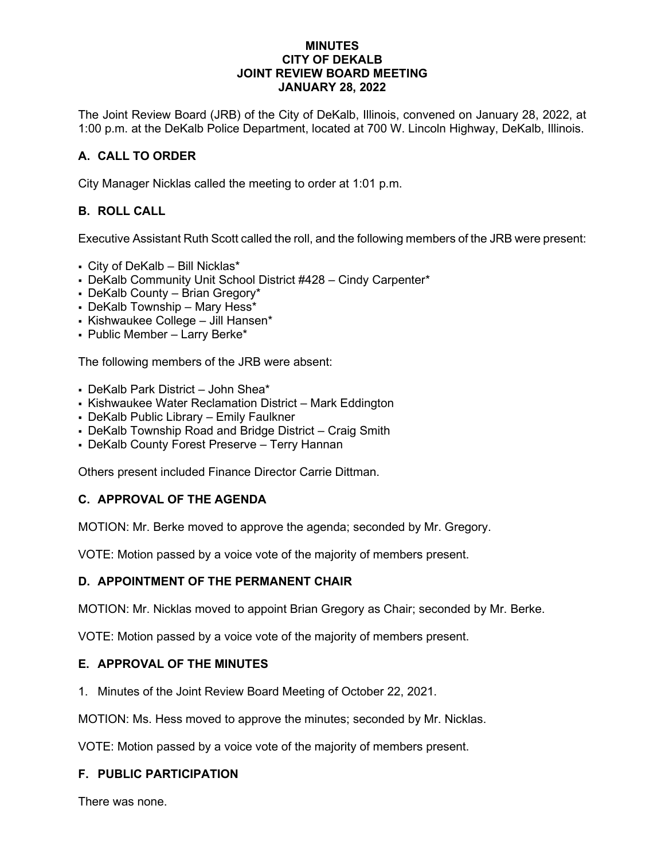#### **MINUTES CITY OF DEKALB JOINT REVIEW BOARD MEETING JANUARY 28, 2022**

The Joint Review Board (JRB) of the City of DeKalb, Illinois, convened on January 28, 2022, at 1:00 p.m. at the DeKalb Police Department, located at 700 W. Lincoln Highway, DeKalb, Illinois.

# **A. CALL TO ORDER**

City Manager Nicklas called the meeting to order at 1:01 p.m.

## **B. ROLL CALL**

Executive Assistant Ruth Scott called the roll, and the following members of the JRB were present:

- City of DeKalb Bill Nicklas\*
- DeKalb Community Unit School District #428 Cindy Carpenter\*
- DeKalb County Brian Gregory\*
- DeKalb Township Mary Hess\*
- $\blacksquare$  Kishwaukee College Jill Hansen\*
- Public Member Larry Berke\*

The following members of the JRB were absent:

- DeKalb Park District John Shea\*
- Kishwaukee Water Reclamation District Mark Eddington
- DeKalb Public Library Emily Faulkner
- DeKalb Township Road and Bridge District Craig Smith
- DeKalb County Forest Preserve Terry Hannan

Others present included Finance Director Carrie Dittman.

## **C. APPROVAL OF THE AGENDA**

MOTION: Mr. Berke moved to approve the agenda; seconded by Mr. Gregory.

VOTE: Motion passed by a voice vote of the majority of members present.

## **D. APPOINTMENT OF THE PERMANENT CHAIR**

MOTION: Mr. Nicklas moved to appoint Brian Gregory as Chair; seconded by Mr. Berke.

VOTE: Motion passed by a voice vote of the majority of members present.

#### **E. APPROVAL OF THE MINUTES**

1. Minutes of the Joint Review Board Meeting of October 22, 2021.

MOTION: Ms. Hess moved to approve the minutes; seconded by Mr. Nicklas.

VOTE: Motion passed by a voice vote of the majority of members present.

## **F. PUBLIC PARTICIPATION**

There was none.